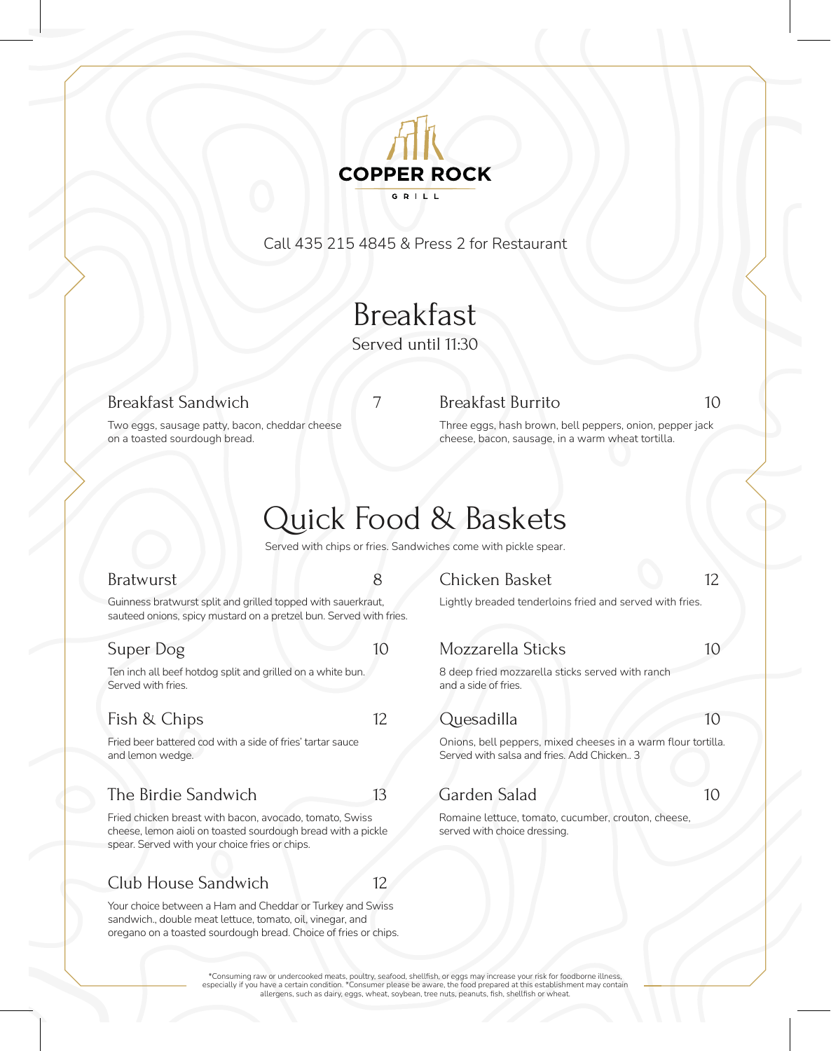

Call 435 215 4845 & Press 2 for Restaurant

## Breakfast Served until 11:30

#### Breakfast Sandwich

on a toasted sourdough bread.

Two eggs, sausage patty, bacon, cheddar cheese

7

Breakfast Burrito

10

Three eggs, hash brown, bell peppers, onion, pepper jack cheese, bacon, sausage, in a warm wheat tortilla.

# Quick Food & Baskets

Served with chips or fries. Sandwiches come with pickle spear.

#### Bratwurst

Guinness bratwurst split and grilled topped with sauerkraut, sauteed onions, spicy mustard on a pretzel bun. Served with fries.

#### Super Dog

Ten inch all beef hotdog split and grilled on a white bun. Served with fries.

#### Fish & Chips

12

Fried beer battered cod with a side of fries' tartar sauce and lemon wedge.

#### The Birdie Sandwich

Fried chicken breast with bacon, avocado, tomato, Swiss cheese, lemon aioli on toasted sourdough bread with a pickle spear. Served with your choice fries or chips.

#### Club House Sandwich

Your choice between a Ham and Cheddar or Turkey and Swiss sandwich., double meat lettuce, tomato, oil, vinegar, and oregano on a toasted sourdough bread. Choice of fries or chips.

#### 8 Chicken Basket

Lightly breaded tenderloins fried and served with fries.

### 10 Mozzarella Sticks

10

12

8 deep fried mozzarella sticks served with ranch and a side of fries.

12 Quesadilla

10

Onions, bell peppers, mixed cheeses in a warm flour tortilla. Served with salsa and fries. Add Chicken.. 3

#### 13 Garden Salad

10

Romaine lettuce, tomato, cucumber, crouton, cheese, served with choice dressing.

\*Consuming raw or undercooked meats, poultry, seafood, shellfish, or eggs may increase your risk for foodborne illness,<br>especially if you have a certain condition. \*Consumer please be aware, the food prepared at this estab allergens, such as dairy, eggs, wheat, soybean, tree nuts, peanuts, fish, shellfish or wheat.